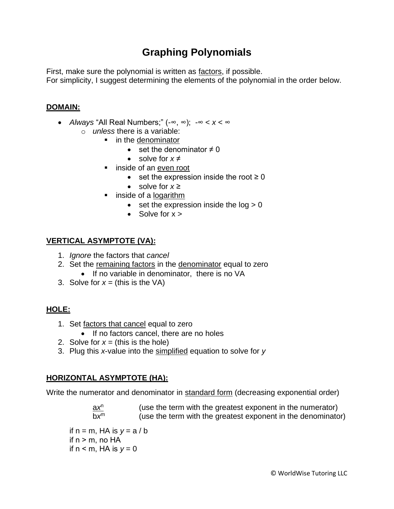# **Graphing Polynomials**

First, make sure the polynomial is written as factors, if possible.

For simplicity, I suggest determining the elements of the polynomial in the order below.

### **DOMAIN:**

- *Always* "All Real Numbers;" (-∞, ∞); -∞ < *x* < ∞
	- o *unless* there is a variable:
		- in the denominator
			- set the denominator  $\neq 0$
			- solve for *x* ≠
		- inside of an even root
			- set the expression inside the root  $\geq 0$
			- solve for *x* ≥
		- inside of a logarithm
			- set the expression inside the  $log > 0$
			- Solve for  $x >$

### **VERTICAL ASYMPTOTE (VA):**

- 1. *Ignore* the factors that *cancel*
- 2. Set the remaining factors in the denominator equal to zero • If no variable in denominator, there is no VA
- 3. Solve for  $x =$  (this is the VA)

# **HOLE:**

- 1. Set factors that cancel equal to zero
	- If no factors cancel, there are no holes
- 2. Solve for  $x = ($ this is the hole)
- 3. Plug this *x*-value into the simplified equation to solve for *y*

# **HORIZONTAL ASYMPTOTE (HA):**

Write the numerator and denominator in standard form (decreasing exponential order)

a*x* n (use the term with the greatest exponent in the numerator) b*x* (use the term with the greatest exponent in the denominator)

if  $n = m$ , HA is  $y = a/b$ if  $n > m$ , no HA if  $n < m$ , HA is  $y = 0$